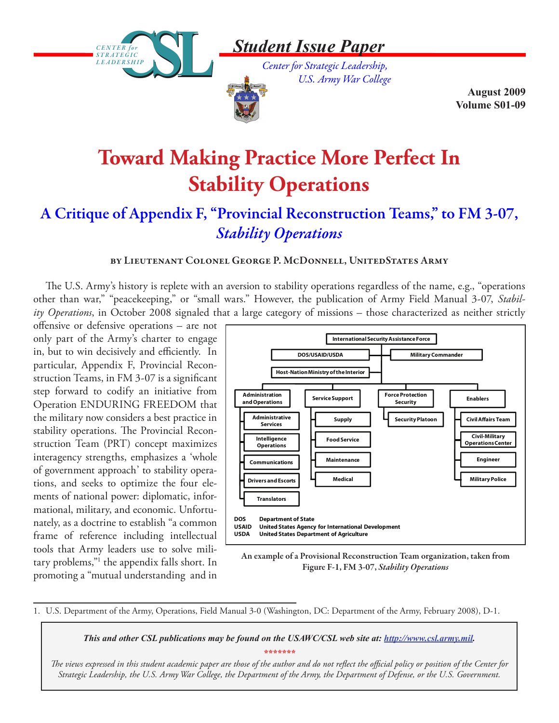

## *Student Issue Paper*

*Center for Strategic Leadership, U.S. Army War College* 



**August 2009 Volume S01-09**

# **Toward Making Practice More Perfect In Stability Operations**

### A Critique of Appendix F, "Provincial Reconstruction Teams," to FM 3-07, *Stability Operations*

#### by Lieutenant Colonel George P. McDonnell, UnitedStates Army

The U.S. Army's history is replete with an aversion to stability operations regardless of the name, e.g., "operations other than war," "peacekeeping," or "small wars." However, the publication of Army Field Manual 3-07, *Stability Operations*, in October 2008 signaled that a large category of missions – those characterized as neither strictly

offensive or defensive operations – are not only part of the Army's charter to engage in, but to win decisively and efficiently. In particular, Appendix F, Provincial Reconstruction Teams, in FM 3-07 is a significant step forward to codify an initiative from Operation ENDURING FREEDOM that the military now considers a best practice in stability operations. The Provincial Reconstruction Team (PRT) concept maximizes interagency strengths, emphasizes a 'whole of government approach' to stability operations, and seeks to optimize the four elements of national power: diplomatic, informational, military, and economic. Unfortunately, as a doctrine to establish "a common frame of reference including intellectual tools that Army leaders use to solve military problems,"1 the appendix falls short. In promoting a "mutual understanding and in



An example of a Provisional Reconstruction Team organization, taken from Figure F-1, FM 3-07, *Stability Operations*

1. U.S. Department of the Army, Operations, Field Manual 3-0 (Washington, DC: Department of the Army, February 2008), D-1.

*This and other CSL publications may be found on the USAWC/CSL web site at: http://www.csl.army.mil. \*\*\*\*\*\*\**

*The views expressed in this student academic paper are those of the author and do not reflect the official policy or position of the Center for Strategic Leadership, the U.S. Army War College, the Department of the Army, the Department of Defense, or the U.S. Government.*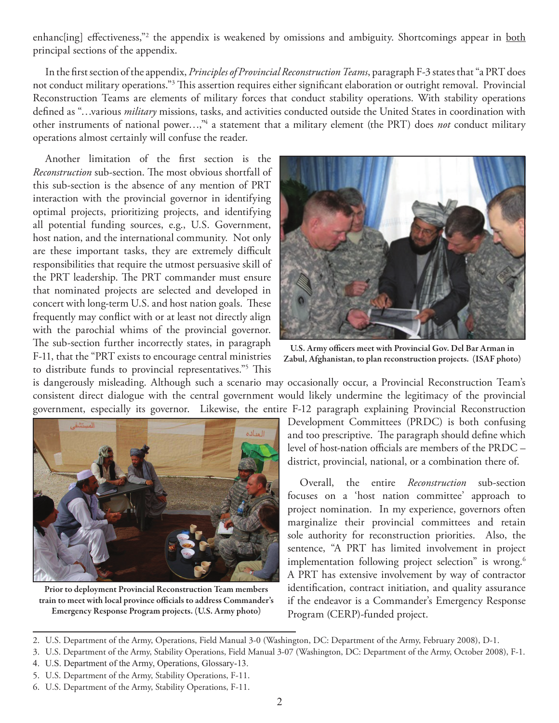enhanc[ing] effectiveness,"<sup>2</sup> the appendix is weakened by omissions and ambiguity. Shortcomings appear in <u>both</u> principal sections of the appendix.

In the first section of the appendix, *Principles of Provincial Reconstruction Teams*, paragraph F-3 states that "a PRT does not conduct military operations."3 This assertion requires either significant elaboration or outright removal. Provincial Reconstruction Teams are elements of military forces that conduct stability operations. With stability operations defined as "…various *military* missions, tasks, and activities conducted outside the United States in coordination with other instruments of national power...,"<sup>4</sup> a statement that a military element (the PRT) does *not* conduct military operations almost certainly will confuse the reader.

Another limitation of the first section is the *Reconstruction* sub-section. The most obvious shortfall of this sub-section is the absence of any mention of PRT interaction with the provincial governor in identifying optimal projects, prioritizing projects, and identifying all potential funding sources, e.g., U.S. Government, host nation, and the international community. Not only are these important tasks, they are extremely difficult responsibilities that require the utmost persuasive skill of the PRT leadership. The PRT commander must ensure that nominated projects are selected and developed in concert with long-term U.S. and host nation goals. These frequently may conflict with or at least not directly align with the parochial whims of the provincial governor. The sub-section further incorrectly states, in paragraph F-11, that the "PRT exists to encourage central ministries to distribute funds to provincial representatives."5 This



U.S. Army officers meet with Provincial Gov. Del Bar Arman in Zabul, Afghanistan, to plan reconstruction projects. (ISAF photo)

is dangerously misleading. Although such a scenario may occasionally occur, a Provincial Reconstruction Team's consistent direct dialogue with the central government would likely undermine the legitimacy of the provincial government, especially its governor. Likewise, the entire F-12 paragraph explaining Provincial Reconstruction



Prior to deployment Provincial Reconstruction Team members train to meet with local province officials to address Commander's Emergency Response Program projects. (U.S. Army photo)

Development Committees (PRDC) is both confusing and too prescriptive. The paragraph should define which level of host-nation officials are members of the PRDC – district, provincial, national, or a combination there of.

Overall, the entire *Reconstruction* sub-section focuses on a 'host nation committee' approach to project nomination. In my experience, governors often marginalize their provincial committees and retain sole authority for reconstruction priorities. Also, the sentence, "A PRT has limited involvement in project implementation following project selection" is wrong.<sup>6</sup> A PRT has extensive involvement by way of contractor identification, contract initiation, and quality assurance if the endeavor is a Commander's Emergency Response Program (CERP)-funded project.

<sup>2.</sup> U.S. Department of the Army, Operations, Field Manual 3-0 (Washington, DC: Department of the Army, February 2008), D-1.

<sup>3.</sup> U.S. Department of the Army, Stability Operations, Field Manual 3-07 (Washington, DC: Department of the Army, October 2008), F-1.

<sup>4.</sup> U.S. Department of the Army, Operations, Glossary-13.

<sup>5.</sup> U.S. Department of the Army, Stability Operations, F-11.

<sup>6.</sup> U.S. Department of the Army, Stability Operations, F-11.